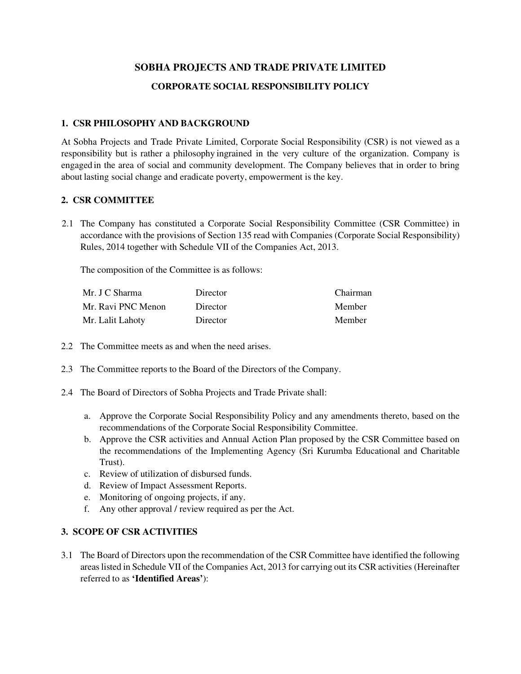# **SOBHA PROJECTS AND TRADE PRIVATE LIMITED CORPORATE SOCIAL RESPONSIBILITY POLICY**

### **1. CSR PHILOSOPHY AND BACKGROUND**

At Sobha Projects and Trade Private Limited, Corporate Social Responsibility (CSR) is not viewed as a responsibility but is rather a philosophy ingrained in the very culture of the organization. Company is engaged in the area of social and community development. The Company believes that in order to bring about lasting social change and eradicate poverty, empowerment is the key.

#### **2. CSR COMMITTEE**

2.1 The Company has constituted a Corporate Social Responsibility Committee (CSR Committee) in accordance with the provisions of Section 135 read with Companies (Corporate Social Responsibility) Rules, 2014 together with Schedule VII of the Companies Act, 2013.

The composition of the Committee is as follows:

| Mr. J C Sharma     | Director | Chairman |
|--------------------|----------|----------|
| Mr. Ravi PNC Menon | Director | Member   |
| Mr. Lalit Lahoty   | Director | Member   |

- 2.2 The Committee meets as and when the need arises.
- 2.3 The Committee reports to the Board of the Directors of the Company.
- 2.4 The Board of Directors of Sobha Projects and Trade Private shall:
	- a. Approve the Corporate Social Responsibility Policy and any amendments thereto, based on the recommendations of the Corporate Social Responsibility Committee.
	- b. Approve the CSR activities and Annual Action Plan proposed by the CSR Committee based on the recommendations of the Implementing Agency (Sri Kurumba Educational and Charitable Trust).
	- c. Review of utilization of disbursed funds.
	- d. Review of Impact Assessment Reports.
	- e. Monitoring of ongoing projects, if any.
	- f. Any other approval / review required as per the Act.

## **3. SCOPE OF CSR ACTIVITIES**

3.1 The Board of Directors upon the recommendation of the CSR Committee have identified the following areas listed in Schedule VII of the Companies Act, 2013 for carrying out its CSR activities (Hereinafter referred to as **'Identified Areas'**):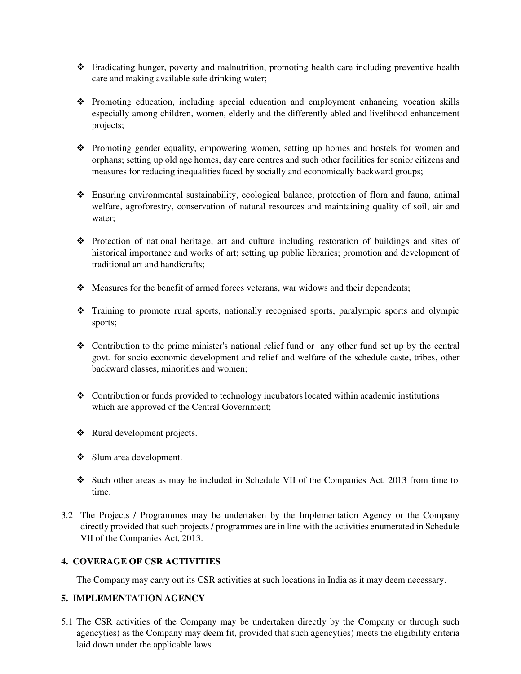- Eradicating hunger, poverty and malnutrition, promoting health care including preventive health care and making available safe drinking water;
- Promoting education, including special education and employment enhancing vocation skills especially among children, women, elderly and the differently abled and livelihood enhancement projects;
- \* Promoting gender equality, empowering women, setting up homes and hostels for women and orphans; setting up old age homes, day care centres and such other facilities for senior citizens and measures for reducing inequalities faced by socially and economically backward groups;
- Ensuring environmental sustainability, ecological balance, protection of flora and fauna, animal welfare, agroforestry, conservation of natural resources and maintaining quality of soil, air and water;
- Protection of national heritage, art and culture including restoration of buildings and sites of historical importance and works of art; setting up public libraries; promotion and development of traditional art and handicrafts;
- Measures for the benefit of armed forces veterans, war widows and their dependents;
- Training to promote rural sports, nationally recognised sports, paralympic sports and olympic sports;
- Contribution to the prime minister's national relief fund or any other fund set up by the central govt. for socio economic development and relief and welfare of the schedule caste, tribes, other backward classes, minorities and women;
- Contribution or funds provided to technology incubators located within academic institutions which are approved of the Central Government;
- ❖ Rural development projects.
- ❖ Slum area development.
- Such other areas as may be included in Schedule VII of the Companies Act, 2013 from time to time.
- 3.2 The Projects / Programmes may be undertaken by the Implementation Agency or the Company directly provided that such projects / programmes are in line with the activities enumerated in Schedule VII of the Companies Act, 2013.

#### **4. COVERAGE OF CSR ACTIVITIES**

The Company may carry out its CSR activities at such locations in India as it may deem necessary.

#### **5. IMPLEMENTATION AGENCY**

5.1 The CSR activities of the Company may be undertaken directly by the Company or through such agency(ies) as the Company may deem fit, provided that such agency(ies) meets the eligibility criteria laid down under the applicable laws.